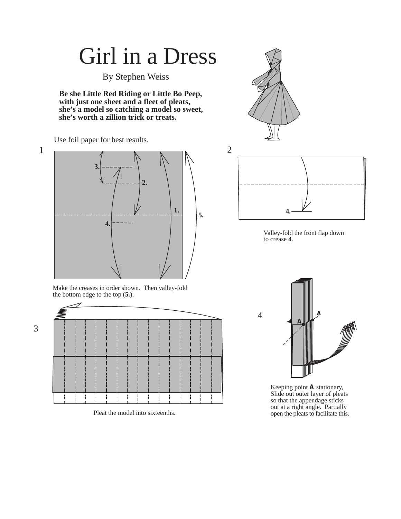## Girl in a Dress

By Stephen Weiss

**Be she Little Red Riding or Little Bo Peep, with just one sheet and a fleet of pleats, she's a model so catching a model so sweet, she's worth a zillion trick or treats.**

Use foil paper for best results.







Pleat the model into sixteenths.











Keeping point **A** stationary, Slide out outer layer of pleats so that the appendage sticks out at a right angle. Partially open the pleats to facilitate this.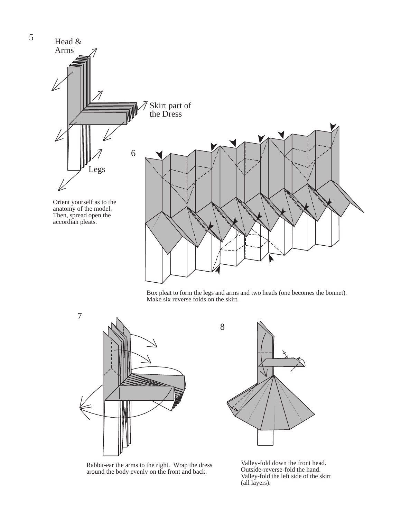



5

Rabbit-ear the arms to the right. Wrap the dress around the body evenly on the front and back.



Valley-fold down the front head. Outside-reverse-fold the hand. Valley-fold the left side of the skirt (all layers).